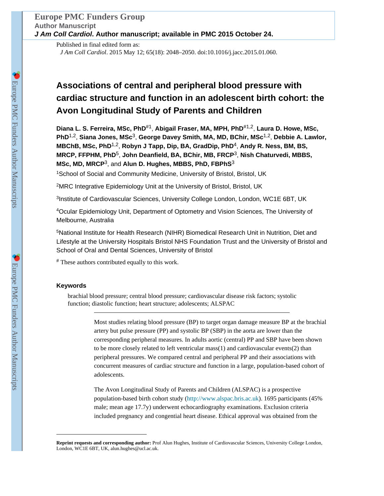Published in final edited form as: *J Am Coll Cardiol*. 2015 May 12; 65(18): 2048–2050. doi:10.1016/j.jacc.2015.01.060.

## **Associations of central and peripheral blood pressure with cardiac structure and function in an adolescent birth cohort: the Avon Longitudinal Study of Parents and Children**

**Diana L. S. Ferreira, MSc, PhD**#1, **Abigail Fraser, MA, MPH, PhD**#1,2, **Laura D. Howe, MSc, PhD**1,2, **Siana Jones, MSc**3, **George Davey Smith, MA, MD, BChir, MSc**1,2, **Debbie A. Lawlor, MBChB, MSc, PhD**1,2, **Robyn J Tapp, Dip, BA, GradDip, PhD**4, **Andy R. Ness, BM, BS, MRCP, FFPHM, PhD**5, **John Deanfield, BA, BChir, MB, FRCP**3, **Nish Chaturvedi, MBBS, MSc, MD, MRCP**3, and **Alun D. Hughes, MBBS, PhD, FBPhS**<sup>3</sup>

<sup>1</sup>School of Social and Community Medicine, University of Bristol, Bristol, UK

<sup>2</sup>MRC Integrative Epidemiology Unit at the University of Bristol, Bristol, UK

<sup>3</sup>Institute of Cardiovascular Sciences, University College London, London, WC1E 6BT, UK

<sup>4</sup>Ocular Epidemiology Unit, Department of Optometry and Vision Sciences, The University of Melbourne, Australia

<sup>5</sup>National Institute for Health Research (NIHR) Biomedical Research Unit in Nutrition, Diet and Lifestyle at the University Hospitals Bristol NHS Foundation Trust and the University of Bristol and School of Oral and Dental Sciences, University of Bristol

# These authors contributed equally to this work.

## **Keywords**

brachial blood pressure; central blood pressure; cardiovascular disease risk factors; systolic function; diastolic function; heart structure; adolescents; ALSPAC

> Most studies relating blood pressure (BP) to target organ damage measure BP at the brachial artery but pulse pressure (PP) and systolic BP (SBP) in the aorta are lower than the corresponding peripheral measures. In adults aortic (central) PP and SBP have been shown to be more closely related to left ventricular mass(1) and cardiovascular events(2) than peripheral pressures. We compared central and peripheral PP and their associations with concurrent measures of cardiac structure and function in a large, population-based cohort of adolescents.

The Avon Longitudinal Study of Parents and Children (ALSPAC) is a prospective population-based birth cohort study [\(http://www.alspac.bris.ac.uk\)](http://www.alspac.bris.ac.uk). 1695 participants (45% male; mean age 17.7y) underwent echocardiography examinations. Exclusion criteria included pregnancy and congential heart disease. Ethical approval was obtained from the

**Reprint requests and corresponding author:** Prof Alun Hughes, Institute of Cardiovascular Sciences, University College London, London, WC1E 6BT, UK, alun.hughes@ucl.ac.uk.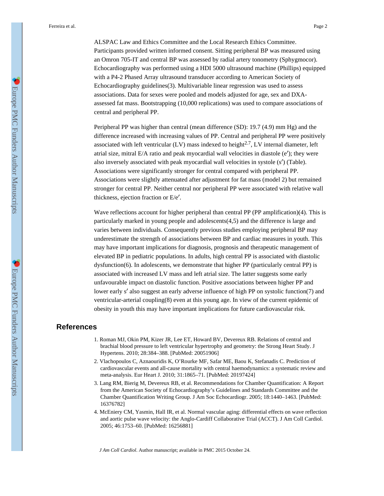Ferreira et al. Page 2

ALSPAC Law and Ethics Committee and the Local Research Ethics Committee. Participants provided written informed consent. Sitting peripheral BP was measured using an Omron 705-IT and central BP was assessed by radial artery tonometry (Sphygmocor). Echocardiography was performed using a HDI 5000 ultrasound machine (Phillips) equipped with a P4-2 Phased Array ultrasound transducer according to American Society of Echocardiography guidelines(3). Multivariable linear regression was used to assess associations. Data for sexes were pooled and models adjusted for age, sex and DXAassessed fat mass. Bootstrapping (10,000 replications) was used to compare associations of central and peripheral PP.

Peripheral PP was higher than central (mean difference (SD): 19.7 (4.9) mm Hg) and the difference increased with increasing values of PP. Central and peripheral PP were positively associated with left ventricular  $(LV)$  mass indexed to height<sup>2.7</sup>, LV internal diameter, left atrial size, mitral E/A ratio and peak myocardial wall velocities in diastole  $(e')$ ; they were also inversely associated with peak myocardial wall velocities in systole (s′) (Table). Associations were significantly stronger for central compared with peripheral PP. Associations were slightly attenuated after adjustment for fat mass (model 2) but remained stronger for central PP. Neither central nor peripheral PP were associated with relative wall thickness, ejection fraction or E/e′.

Wave reflections account for higher peripheral than central PP (PP amplification)(4). This is particularly marked in young people and adolescents(4,5) and the difference is large and varies between individuals. Consequently previous studies employing peripheral BP may underestimate the strength of associations between BP and cardiac measures in youth. This may have important implications for diagnosis, prognosis and therapeutic management of elevated BP in pediatric populations. In adults, high central PP is associated with diastolic dysfunction(6). In adolescents, we demonstrate that higher PP (particularly central PP) is associated with increased LV mass and left atrial size. The latter suggests some early unfavourable impact on diastolic function. Positive associations between higher PP and lower early s' also suggest an early adverse influence of high PP on systolic function(7) and ventricular-arterial coupling(8) even at this young age. In view of the current epidemic of obesity in youth this may have important implications for future cardiovascular risk.

## **References**

- 1. Roman MJ, Okin PM, Kizer JR, Lee ET, Howard BV, Devereux RB. Relations of central and brachial blood pressure to left ventricular hypertrophy and geometry: the Strong Heart Study. J Hypertens. 2010; 28:384–388. [PubMed: 20051906]
- 2. Vlachopoulos C, Aznaouridis K, O'Rourke MF, Safar ME, Baou K, Stefanadis C. Prediction of cardiovascular events and all-cause mortality with central haemodynamics: a systematic review and meta-analysis. Eur Heart J. 2010; 31:1865–71. [PubMed: 20197424]
- 3. Lang RM, Bierig M, Devereux RB, et al. Recommendations for Chamber Quantification: A Report from the American Society of Echocardiography's Guidelines and Standards Committee and the Chamber Quantification Writing Group. J Am Soc Echocardiogr. 2005; 18:1440–1463. [PubMed: 16376782]
- 4. McEniery CM, Yasmin, Hall IR, et al. Normal vascular aging: differential effects on wave reflection and aortic pulse wave velocity: the Anglo-Cardiff Collaborative Trial (ACCT). J Am Coll Cardiol. 2005; 46:1753–60. [PubMed: 16256881]

*J Am Coll Cardiol*. Author manuscript; available in PMC 2015 October 24.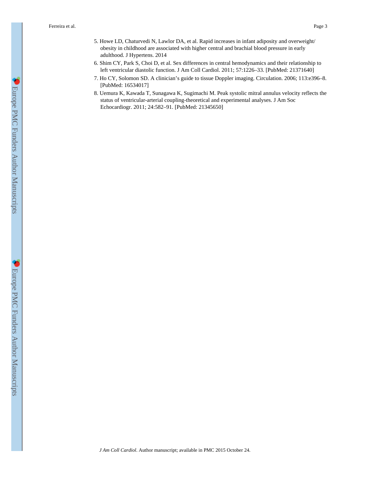Ferreira et al. Page 3

- 5. Howe LD, Chaturvedi N, Lawlor DA, et al. Rapid increases in infant adiposity and overweight/ obesity in childhood are associated with higher central and brachial blood pressure in early adulthood. J Hypertens. 2014
- 6. Shim CY, Park S, Choi D, et al. Sex differences in central hemodynamics and their relationship to left ventricular diastolic function. J Am Coll Cardiol. 2011; 57:1226–33. [PubMed: 21371640]
- 7. Ho CY, Solomon SD. A clinician's guide to tissue Doppler imaging. Circulation. 2006; 113:e396–8. [PubMed: 16534017]
- 8. Uemura K, Kawada T, Sunagawa K, Sugimachi M. Peak systolic mitral annulus velocity reflects the status of ventricular-arterial coupling-theoretical and experimental analyses. J Am Soc Echocardiogr. 2011; 24:582–91. [PubMed: 21345650]